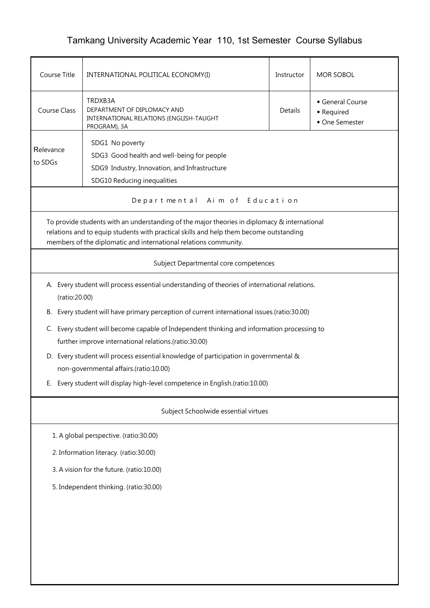## Tamkang University Academic Year 110, 1st Semester Course Syllabus

| Course Title                                                                                                                                                                                                                                               | INTERNATIONAL POLITICAL ECONOMY(I)                                                                                                            |         | <b>MOR SOBOL</b>                               |  |  |  |
|------------------------------------------------------------------------------------------------------------------------------------------------------------------------------------------------------------------------------------------------------------|-----------------------------------------------------------------------------------------------------------------------------------------------|---------|------------------------------------------------|--|--|--|
| Course Class                                                                                                                                                                                                                                               | TRDXB3A<br>DEPARTMENT OF DIPLOMACY AND<br>INTERNATIONAL RELATIONS (ENGLISH-TAUGHT<br>PROGRAM), 3A                                             | Details | General Course<br>• Required<br>• One Semester |  |  |  |
| Relevance<br>to SDGs                                                                                                                                                                                                                                       | SDG1 No poverty<br>SDG3 Good health and well-being for people<br>SDG9 Industry, Innovation, and Infrastructure<br>SDG10 Reducing inequalities |         |                                                |  |  |  |
|                                                                                                                                                                                                                                                            | Departmental Aim of Education                                                                                                                 |         |                                                |  |  |  |
| To provide students with an understanding of the major theories in diplomacy & international<br>relations and to equip students with practical skills and help them become outstanding<br>members of the diplomatic and international relations community. |                                                                                                                                               |         |                                                |  |  |  |
|                                                                                                                                                                                                                                                            | Subject Departmental core competences                                                                                                         |         |                                                |  |  |  |
| (ratio:20.00)                                                                                                                                                                                                                                              | A. Every student will process essential understanding of theories of international relations.                                                 |         |                                                |  |  |  |
| В.                                                                                                                                                                                                                                                         | Every student will have primary perception of current international issues.(ratio:30.00)                                                      |         |                                                |  |  |  |
| Every student will become capable of Independent thinking and information processing to<br>C.<br>further improve international relations.(ratio:30.00)                                                                                                     |                                                                                                                                               |         |                                                |  |  |  |
| D. Every student will process essential knowledge of participation in governmental &<br>non-governmental affairs.(ratio:10.00)                                                                                                                             |                                                                                                                                               |         |                                                |  |  |  |
| Ŀ.                                                                                                                                                                                                                                                         | Every student will display high-level competence in English.(ratio:10.00)                                                                     |         |                                                |  |  |  |
| Subject Schoolwide essential virtues                                                                                                                                                                                                                       |                                                                                                                                               |         |                                                |  |  |  |
| 1. A global perspective. (ratio:30.00)                                                                                                                                                                                                                     |                                                                                                                                               |         |                                                |  |  |  |
| 2. Information literacy. (ratio:30.00)                                                                                                                                                                                                                     |                                                                                                                                               |         |                                                |  |  |  |
| 3. A vision for the future. (ratio:10.00)                                                                                                                                                                                                                  |                                                                                                                                               |         |                                                |  |  |  |
| 5. Independent thinking. (ratio:30.00)                                                                                                                                                                                                                     |                                                                                                                                               |         |                                                |  |  |  |
|                                                                                                                                                                                                                                                            |                                                                                                                                               |         |                                                |  |  |  |
|                                                                                                                                                                                                                                                            |                                                                                                                                               |         |                                                |  |  |  |
|                                                                                                                                                                                                                                                            |                                                                                                                                               |         |                                                |  |  |  |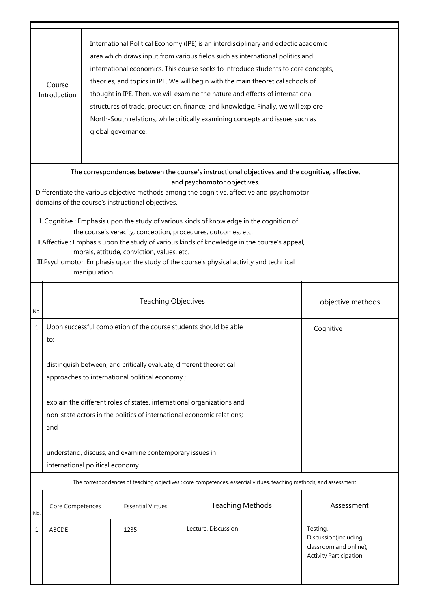|                                                                                                                                                                                                                                                                                                                                                                                                                                                                                                                                                                                                                                                                                                            | International Political Economy (IPE) is an interdisciplinary and eclectic academic<br>area which draws input from various fields such as international politics and<br>international economics. This course seeks to introduce students to core concepts,<br>theories, and topics in IPE. We will begin with the main theoretical schools of<br>Course<br>thought in IPE. Then, we will examine the nature and effects of international<br>Introduction<br>structures of trade, production, finance, and knowledge. Finally, we will explore<br>North-South relations, while critically examining concepts and issues such as<br>global governance. |                                                 |                          |                                                                                                                    |                                                                                             |  |
|------------------------------------------------------------------------------------------------------------------------------------------------------------------------------------------------------------------------------------------------------------------------------------------------------------------------------------------------------------------------------------------------------------------------------------------------------------------------------------------------------------------------------------------------------------------------------------------------------------------------------------------------------------------------------------------------------------|------------------------------------------------------------------------------------------------------------------------------------------------------------------------------------------------------------------------------------------------------------------------------------------------------------------------------------------------------------------------------------------------------------------------------------------------------------------------------------------------------------------------------------------------------------------------------------------------------------------------------------------------------|-------------------------------------------------|--------------------------|--------------------------------------------------------------------------------------------------------------------|---------------------------------------------------------------------------------------------|--|
| The correspondences between the course's instructional objectives and the cognitive, affective,<br>and psychomotor objectives.<br>Differentiate the various objective methods among the cognitive, affective and psychomotor<br>domains of the course's instructional objectives.<br>I. Cognitive: Emphasis upon the study of various kinds of knowledge in the cognition of<br>the course's veracity, conception, procedures, outcomes, etc.<br>II. Affective : Emphasis upon the study of various kinds of knowledge in the course's appeal,<br>morals, attitude, conviction, values, etc.<br>III. Psychomotor: Emphasis upon the study of the course's physical activity and technical<br>manipulation. |                                                                                                                                                                                                                                                                                                                                                                                                                                                                                                                                                                                                                                                      |                                                 |                          |                                                                                                                    |                                                                                             |  |
| No.                                                                                                                                                                                                                                                                                                                                                                                                                                                                                                                                                                                                                                                                                                        |                                                                                                                                                                                                                                                                                                                                                                                                                                                                                                                                                                                                                                                      | <b>Teaching Objectives</b><br>objective methods |                          |                                                                                                                    |                                                                                             |  |
| $\mathbf{1}$                                                                                                                                                                                                                                                                                                                                                                                                                                                                                                                                                                                                                                                                                               | Upon successful completion of the course students should be able<br>to:                                                                                                                                                                                                                                                                                                                                                                                                                                                                                                                                                                              |                                                 | Cognitive                |                                                                                                                    |                                                                                             |  |
|                                                                                                                                                                                                                                                                                                                                                                                                                                                                                                                                                                                                                                                                                                            | distinguish between, and critically evaluate, different theoretical<br>approaches to international political economy;                                                                                                                                                                                                                                                                                                                                                                                                                                                                                                                                |                                                 |                          |                                                                                                                    |                                                                                             |  |
|                                                                                                                                                                                                                                                                                                                                                                                                                                                                                                                                                                                                                                                                                                            | explain the different roles of states, international organizations and<br>non-state actors in the politics of international economic relations;<br>and                                                                                                                                                                                                                                                                                                                                                                                                                                                                                               |                                                 |                          |                                                                                                                    |                                                                                             |  |
|                                                                                                                                                                                                                                                                                                                                                                                                                                                                                                                                                                                                                                                                                                            | understand, discuss, and examine contemporary issues in<br>international political economy                                                                                                                                                                                                                                                                                                                                                                                                                                                                                                                                                           |                                                 |                          |                                                                                                                    |                                                                                             |  |
|                                                                                                                                                                                                                                                                                                                                                                                                                                                                                                                                                                                                                                                                                                            |                                                                                                                                                                                                                                                                                                                                                                                                                                                                                                                                                                                                                                                      |                                                 |                          | The correspondences of teaching objectives : core competences, essential virtues, teaching methods, and assessment |                                                                                             |  |
| No.                                                                                                                                                                                                                                                                                                                                                                                                                                                                                                                                                                                                                                                                                                        | Core Competences                                                                                                                                                                                                                                                                                                                                                                                                                                                                                                                                                                                                                                     |                                                 | <b>Essential Virtues</b> | <b>Teaching Methods</b>                                                                                            | Assessment                                                                                  |  |
| 1                                                                                                                                                                                                                                                                                                                                                                                                                                                                                                                                                                                                                                                                                                          | ABCDE                                                                                                                                                                                                                                                                                                                                                                                                                                                                                                                                                                                                                                                |                                                 | 1235                     | Lecture, Discussion                                                                                                | Testing,<br>Discussion(including<br>classroom and online),<br><b>Activity Participation</b> |  |
|                                                                                                                                                                                                                                                                                                                                                                                                                                                                                                                                                                                                                                                                                                            |                                                                                                                                                                                                                                                                                                                                                                                                                                                                                                                                                                                                                                                      |                                                 |                          |                                                                                                                    |                                                                                             |  |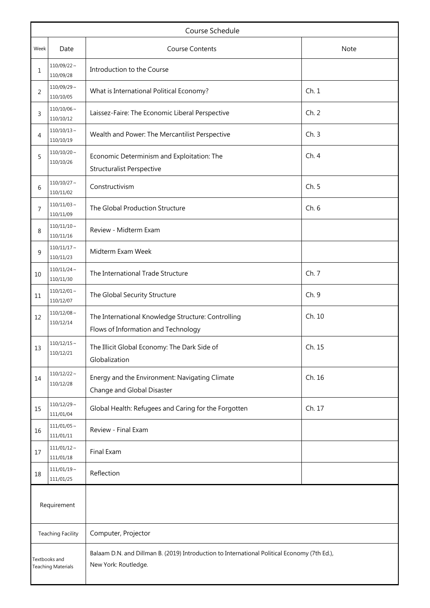|                                            | Course Schedule               |                                                                                                                      |        |  |  |  |
|--------------------------------------------|-------------------------------|----------------------------------------------------------------------------------------------------------------------|--------|--|--|--|
| Week                                       | Date                          | <b>Course Contents</b>                                                                                               | Note   |  |  |  |
| $\mathbf{1}$                               | $110/09/22 \sim$<br>110/09/28 | Introduction to the Course                                                                                           |        |  |  |  |
| 2                                          | $110/09/29 \sim$<br>110/10/05 | What is International Political Economy?                                                                             | Ch.1   |  |  |  |
| 3                                          | $110/10/06\sim$<br>110/10/12  | Laissez-Faire: The Economic Liberal Perspective                                                                      | Ch.2   |  |  |  |
| 4                                          | $110/10/13 \sim$<br>110/10/19 | Wealth and Power: The Mercantilist Perspective                                                                       | Ch.3   |  |  |  |
| 5                                          | $110/10/20 \sim$<br>110/10/26 | Economic Determinism and Exploitation: The<br><b>Structuralist Perspective</b>                                       | Ch.4   |  |  |  |
| 6                                          | $110/10/27$ ~<br>110/11/02    | Constructivism                                                                                                       | Ch. 5  |  |  |  |
| 7                                          | $110/11/03$ ~<br>110/11/09    | The Global Production Structure                                                                                      | Ch.6   |  |  |  |
| 8                                          | $110/11/10 \sim$<br>110/11/16 | Review - Midterm Exam                                                                                                |        |  |  |  |
| 9                                          | $110/11/17$ ~<br>110/11/23    | Midterm Exam Week                                                                                                    |        |  |  |  |
| 10                                         | $110/11/24$ ~<br>110/11/30    | The International Trade Structure                                                                                    | Ch. 7  |  |  |  |
| 11                                         | $110/12/01 \sim$<br>110/12/07 | The Global Security Structure                                                                                        | Ch. 9  |  |  |  |
| 12                                         | $110/12/08 \sim$<br>110/12/14 | The International Knowledge Structure: Controlling<br>Flows of Information and Technology                            | Ch. 10 |  |  |  |
| 13                                         | $110/12/15$ ~<br>110/12/21    | The Illicit Global Economy: The Dark Side of<br>Globalization                                                        | Ch. 15 |  |  |  |
| 14                                         | $110/12/22$ ~<br>110/12/28    | Energy and the Environment: Navigating Climate<br>Change and Global Disaster                                         | Ch. 16 |  |  |  |
| 15                                         | $110/12/29 \sim$<br>111/01/04 | Global Health: Refugees and Caring for the Forgotten                                                                 | Ch. 17 |  |  |  |
| 16                                         | $111/01/05 \sim$<br>111/01/11 | Review - Final Exam                                                                                                  |        |  |  |  |
| 17                                         | $111/01/12 \sim$<br>111/01/18 | Final Exam                                                                                                           |        |  |  |  |
| 18                                         | $111/01/19$ ~<br>111/01/25    | Reflection                                                                                                           |        |  |  |  |
| Requirement                                |                               |                                                                                                                      |        |  |  |  |
|                                            | <b>Teaching Facility</b>      | Computer, Projector                                                                                                  |        |  |  |  |
| Textbooks and<br><b>Teaching Materials</b> |                               | Balaam D.N. and Dillman B. (2019) Introduction to International Political Economy (7th Ed.),<br>New York: Routledge. |        |  |  |  |